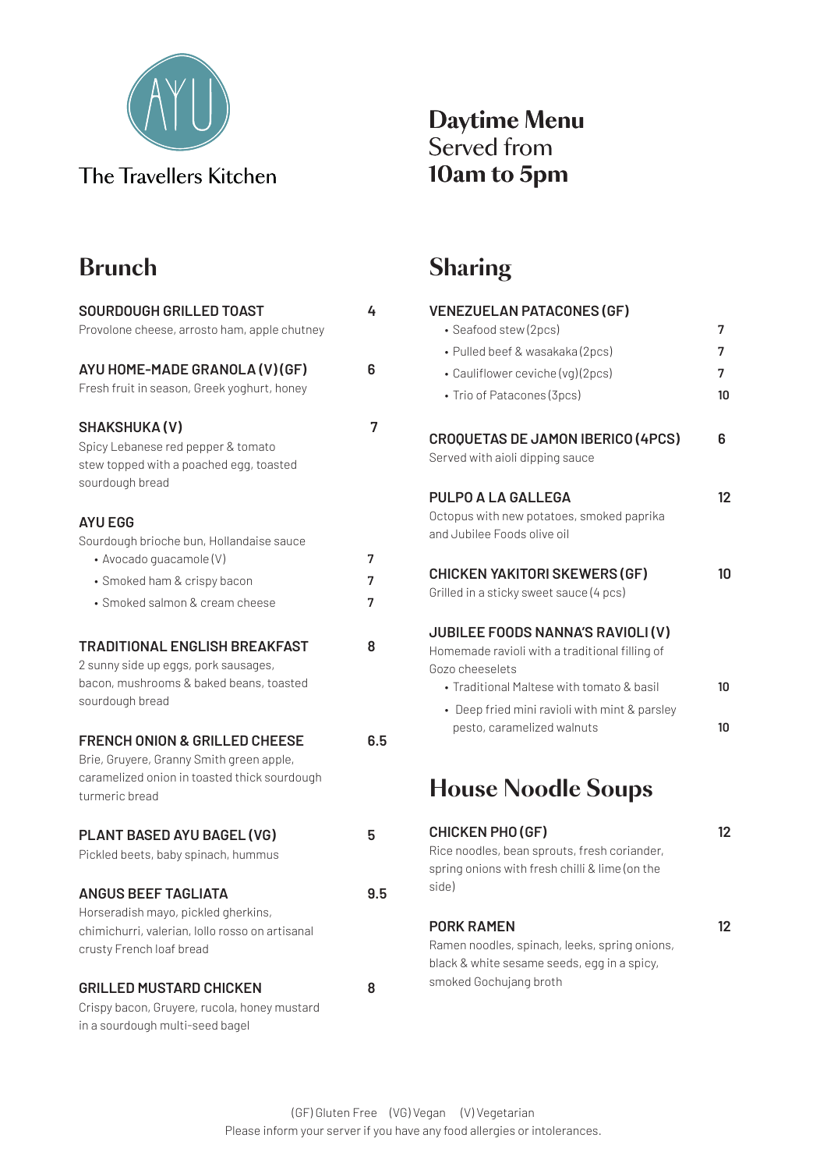

#### **Daytime Menu** Served from **10am to 5pm**

# **Brunch**

| <b>SOURDOUGH GRILLED TOAST</b><br>Provolone cheese, arrosto ham, apple chutney                                                                         | 4           |
|--------------------------------------------------------------------------------------------------------------------------------------------------------|-------------|
| AYU HOME-MADE GRANOLA (V) (GF)<br>Fresh fruit in season, Greek yoghurt, honey                                                                          | 6           |
| <b>SHAKSHUKA(V)</b><br>Spicy Lebanese red pepper & tomato<br>stew topped with a poached egg, toasted<br>sourdough bread                                | 7           |
| <b>AYU EGG</b><br>Sourdough brioche bun, Hollandaise sauce<br>• Avocado guacamole (V)<br>• Smoked ham & crispy bacon<br>• Smoked salmon & cream cheese | 7<br>7<br>7 |
| <b>TRADITIONAL ENGLISH BREAKFAST</b><br>2 sunny side up eggs, pork sausages,<br>bacon, mushrooms & baked beans, toasted<br>sourdough bread             | 8           |
| <b>FRENCH ONION &amp; GRILLED CHEESE</b><br>Brie, Gruyere, Granny Smith green apple,<br>caramelized onion in toasted thick sourdough<br>turmeric bread | 6.5         |
| PLANT BASED AYU BAGEL (VG)<br>Pickled beets, baby spinach, hummus                                                                                      | 5           |
| <b>ANGUS BEEF TAGLIATA</b><br>Horseradish mayo, pickled gherkins,<br>chimichurri, valerian, Iollo rosso on artisanal<br>crusty French loaf bread       | 9.5         |
| <b>GRILLED MUSTARD CHICKEN</b><br>Crispy bacon, Gruyere, rucola, honey mustard<br>in a sourdough multi-seed bagel                                      | 8           |

## **Sharing**

| <b>VENEZUELAN PATACONES (GF)</b>                                                               |                  |
|------------------------------------------------------------------------------------------------|------------------|
| • Seafood stew (2pcs)                                                                          | 7                |
| · Pulled beef & wasakaka (2pcs)                                                                | 7                |
| • Cauliflower ceviche (vg)(2pcs)                                                               | 7                |
| • Trio of Patacones (3pcs)                                                                     | 10               |
| <b>CROQUETAS DE JAMON IBERICO (4PCS)</b>                                                       | 6                |
| Served with aioli dipping sauce                                                                |                  |
| <b>PULPO A LA GALLEGA</b>                                                                      | 12               |
| Octopus with new potatoes, smoked paprika<br>and Jubilee Foods olive oil                       |                  |
| <b>CHICKEN YAKITORI SKEWERS (GF)</b>                                                           | 10               |
| Grilled in a sticky sweet sauce (4 pcs)                                                        |                  |
| <b>JUBILEE FOODS NANNA'S RAVIOLI (V)</b>                                                       |                  |
| Homemade ravioli with a traditional filling of<br>Gozo cheeselets                              |                  |
| • Traditional Maltese with tomato & basil                                                      | 10               |
| • Deep fried mini ravioli with mint & parsley                                                  | 10 <sup>10</sup> |
| pesto, caramelized walnuts                                                                     |                  |
| <b>House Noodle Soups</b>                                                                      |                  |
|                                                                                                |                  |
| <b>CHICKEN PHO (GF)</b>                                                                        | 12               |
| Rice noodles, bean sprouts, fresh coriander,<br>spring onions with fresh chilli & lime (on the |                  |
| side)                                                                                          |                  |
| PORK RAMEN                                                                                     | 12               |
| and official conditions with the subset of security                                            |                  |

Ramen noodles, spinach, leeks, spring onions, black & white sesame seeds, egg in a spicy, smoked Gochujang broth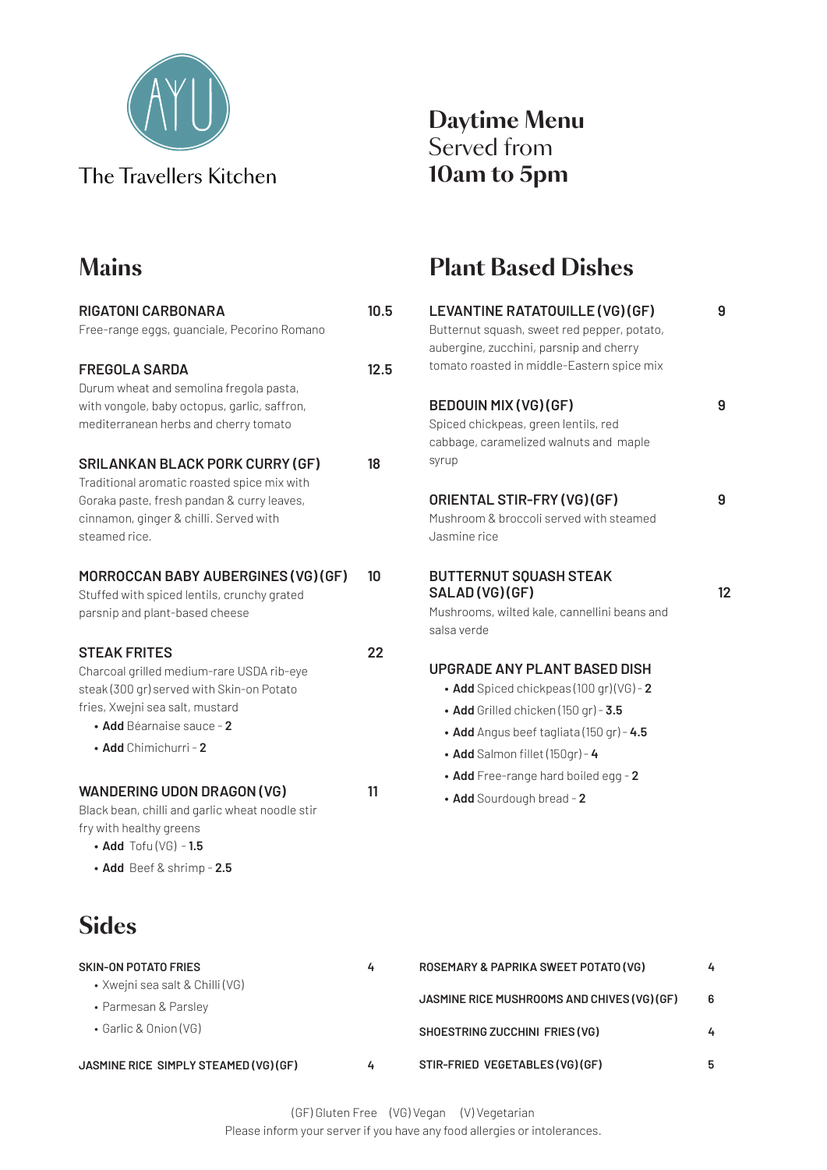

## **Mains**

| <b>RIGATONI CARBONARA</b><br>Free-range eggs, guanciale, Pecorino Romano                                                                                                                                    | 10.5 |
|-------------------------------------------------------------------------------------------------------------------------------------------------------------------------------------------------------------|------|
| <b>FREGOLA SARDA</b><br>Durum wheat and semolina fregola pasta,<br>with vongole, baby octopus, garlic, saffron,<br>mediterranean herbs and cherry tomato                                                    | 12.5 |
| <b>SRILANKAN BLACK PORK CURRY (GF)</b><br>Traditional aromatic roasted spice mix with<br>Goraka paste, fresh pandan & curry leaves,<br>cinnamon, ginger & chilli. Served with<br>steamed rice.              | 18   |
| MORROCCAN BABY AUBERGINES (VG) (GF)<br>Stuffed with spiced lentils, crunchy grated<br>parsnip and plant-based cheese                                                                                        | 10   |
| <b>STEAK FRITES</b><br>Charcoal grilled medium-rare USDA rib-eye<br>steak (300 gr) served with Skin-on Potato<br>fries, Xwejni sea salt, mustard<br>• Add Béarnaise sauce - 2 $\,$<br>• Add Chimichurri - 2 | 22   |
| <b>WANDERING UDON DRAGON (VG)</b><br>Black bean, chilli and garlic wheat noodle stir<br>fry with healthy greens<br>$\bullet$ Add Tofu (VG) - 1.5<br>$\bullet$ Add Beef & shrimp - 2.5                       | 11   |
| <b>Sides</b>                                                                                                                                                                                                |      |
| <b>SKIN-ON POTATO FRIES</b><br>• Xwejni sea salt & Chilli (VG)<br>• Parmesan & Parsley<br>• Garlic & Onion (VG)                                                                                             | 4    |

### **Daytime Menu** Served from **10am to 5pm**

# **Plant Based Dishes**

| ).5 | LEVANTINE RATATOUILLE (VG) (GF)                 | 9  |
|-----|-------------------------------------------------|----|
|     | Butternut squash, sweet red pepper, potato,     |    |
|     | aubergine, zucchini, parsnip and cherry         |    |
| 2.5 | tomato roasted in middle-Eastern spice mix      |    |
|     | <b>BEDOUIN MIX (VG) (GF)</b>                    | 9  |
|     | Spiced chickpeas, green lentils, red            |    |
|     | cabbage, caramelized walnuts and maple          |    |
|     | syrup                                           |    |
|     | ORIENTAL STIR-FRY (VG) (GF)                     | 9  |
|     | Mushroom & broccoli served with steamed         |    |
|     | Jasmine rice                                    |    |
|     | <b>BUTTERNUT SOUASH STEAK</b>                   |    |
|     | SALAD(VG)(GF)                                   | 12 |
|     | Mushrooms, wilted kale, cannellini beans and    |    |
|     | salsa verde                                     |    |
| 2   | UPGRADE ANY PLANT BASED DISH                    |    |
|     | • Add Spiced chickpeas (100 gr) (VG) - 2        |    |
|     | · Add Grilled chicken (150 gr) - 3.5            |    |
|     | • Add Angus beef tagliata (150 gr) - $4.5$      |    |
|     | · Add Salmon fillet (150gr) - 4                 |    |
|     | • Add Free-range hard boiled egg - 2            |    |
|     | • Add Sourdough bread - 2                       |    |
|     |                                                 |    |
|     |                                                 |    |
|     |                                                 |    |
|     |                                                 |    |
|     |                                                 |    |
|     |                                                 |    |
|     | <b>DOCEMADY &amp; DADDIVA CWEET DOTATO (VC)</b> |    |

| <b>SKIN-ON POTATO FRIES</b><br>• Xwejni sea salt & Chilli (VG) | 4 | ROSEMARY & PAPRIKA SWEET POTATO (VG)        | 4  |
|----------------------------------------------------------------|---|---------------------------------------------|----|
| • Parmesan & Parsley                                           |   | JASMINE RICE MUSHROOMS AND CHIVES (VG) (GF) | 6  |
| • Garlic & Onion (VG)                                          |   | SHOESTRING ZUCCHINI FRIES (VG)              | 4  |
| JASMINE RICE SIMPLY STEAMED (VG) (GF)                          | 4 | STIR-FRIED VEGETABLES (VG) (GF)             | -5 |

(GF) Gluten Free (VG) Vegan (V) Vegetarian Please inform your server if you have any food allergies or intolerances.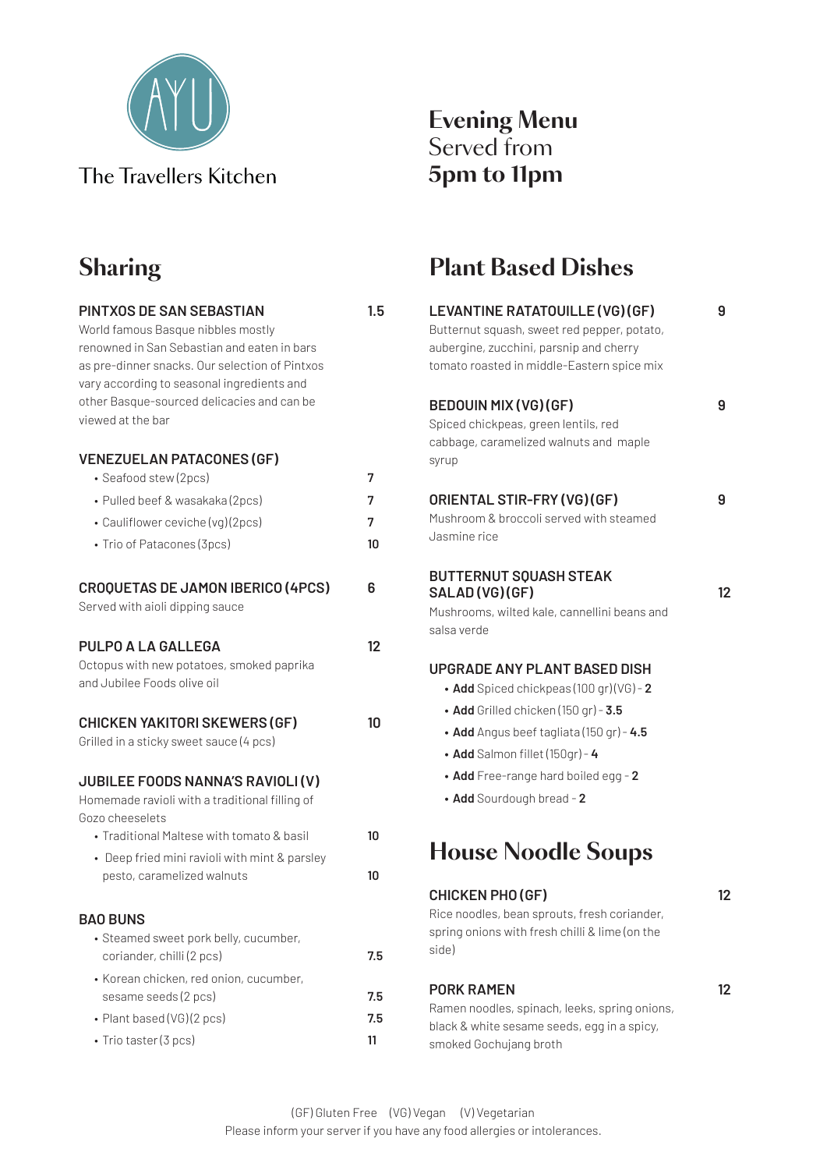

World famous Basque nibbles mostly renowned in San Sebastian and eaten in bars as pre-dinner snacks. Our selection of Pintxos

# **Sharing**

| vary according to seasonal ingredients and<br>other Basque-sourced delicacies and can be<br>viewed at the bar                                                   |                   |
|-----------------------------------------------------------------------------------------------------------------------------------------------------------------|-------------------|
| <b>VENEZUELAN PATACONES (GF)</b><br>· Seafood stew (2pcs)<br>• Pulled beef & wasakaka (2pcs)<br>• Cauliflower ceviche (vg) (2pcs)<br>• Trio of Patacones (3pcs) | 7<br>7<br>7<br>10 |
| <b>CROQUETAS DE JAMON IBERICO (4PCS)</b><br>Served with aioli dipping sauce                                                                                     | 6                 |
| PULPO A LA GALLEGA<br>Octopus with new potatoes, smoked paprika<br>and Jubilee Foods olive oil                                                                  | 12                |
| <b>CHICKEN YAKITORI SKEWERS (GF)</b><br>Grilled in a sticky sweet sauce (4 pcs)                                                                                 | 10                |
| <b>JUBILEE FOODS NANNA'S RAVIOLI (V)</b><br>Homemade ravioli with a traditional filling of<br>Gozo cheeselets                                                   |                   |
| • Traditional Maltese with tomato & basil                                                                                                                       | 10                |
| • Deep fried mini ravioli with mint & parsley<br>pesto, caramelized walnuts                                                                                     | 10                |
| <b>BAO BUNS</b><br>· Steamed sweet pork belly, cucumber,                                                                                                        |                   |
| coriander, chilli (2 pcs)<br>• Korean chicken, red onion, cucumber,                                                                                             | 7.5               |
| sesame seeds (2 pcs)                                                                                                                                            | 7.5               |
| • Plant based (VG) (2 pcs)<br>• Trio taster (3 pcs)                                                                                                             | 7.5<br>11         |
|                                                                                                                                                                 |                   |

**Pintxos de San Sebastian 1.5**

#### **Evening Menu** Served from **5pm to 11pm**

## **Plant Based Dishes**

| LEVANTINE RATATOUILLE (VG) (GF)                                                                                                    | 9  |
|------------------------------------------------------------------------------------------------------------------------------------|----|
| Butternut squash, sweet red pepper, potato,                                                                                        |    |
| aubergine, zucchini, parsnip and cherry                                                                                            |    |
| tomato roasted in middle-Eastern spice mix                                                                                         |    |
| <b>BEDOUIN MIX (VG) (GF)</b>                                                                                                       | 9  |
| Spiced chickpeas, green lentils, red                                                                                               |    |
| cabbage, caramelized walnuts and maple<br>syrup                                                                                    |    |
| ORIENTAL STIR-FRY (VG) (GF)                                                                                                        | 9  |
| Mushroom & broccoli served with steamed                                                                                            |    |
| Jasmine rice                                                                                                                       |    |
| <b>BUTTERNUT SQUASH STEAK</b>                                                                                                      |    |
| SALAD(VG)(GF)                                                                                                                      | 12 |
| Mushrooms, wilted kale, cannellini beans and                                                                                       |    |
| salsa verde                                                                                                                        |    |
| <b>UPGRADE ANY PLANT BASED DISH</b>                                                                                                |    |
| • Add Spiced chickpeas (100 gr) (VG) - 2                                                                                           |    |
| • Add Grilled chicken (150 gr) - 3.5                                                                                               |    |
| • Add Angus beef tagliata (150 gr) - $4.5$                                                                                         |    |
| • Add Salmon fillet (150gr) - 4                                                                                                    |    |
| • Add Free-range hard boiled egg - 2                                                                                               |    |
| • Add Sourdough bread - 2                                                                                                          |    |
| <b>House Noodle Soups</b>                                                                                                          |    |
| <b>CHICKEN PHO (GF)</b><br>Rice noodles, bean sprouts, fresh coriander,<br>spring onions with fresh chilli & lime (on the<br>side) | 12 |
|                                                                                                                                    |    |

#### **PORK RAMEN** 12

Ramen noodles, spinach, leeks, spring onions, black & white sesame seeds, egg in a spicy, smoked Gochujang broth